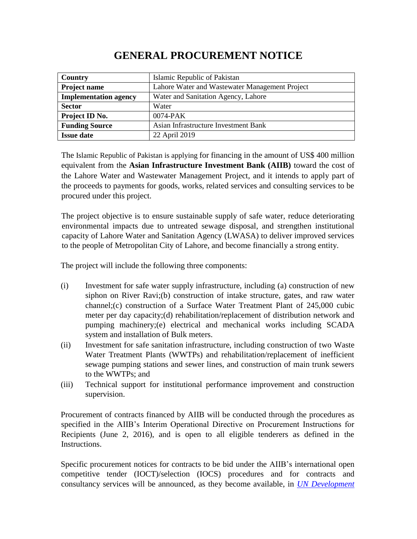## **GENERAL PROCUREMENT NOTICE**

| <b>Country</b>               | Islamic Republic of Pakistan                   |
|------------------------------|------------------------------------------------|
| Project name                 | Lahore Water and Wastewater Management Project |
| <b>Implementation agency</b> | Water and Sanitation Agency, Lahore            |
| <b>Sector</b>                | Water                                          |
| Project ID No.               | $0074$ -PAK                                    |
| <b>Funding Source</b>        | Asian Infrastructure Investment Bank           |
| <b>Issue date</b>            | 22 April 2019                                  |

The Islamic Republic of Pakistan is applying for financing in the amount of US\$ 400 million equivalent from the **Asian Infrastructure Investment Bank (AIIB)** toward the cost of the Lahore Water and Wastewater Management Project, and it intends to apply part of the proceeds to payments for goods, works, related services and consulting services to be procured under this project.

The project objective is to ensure sustainable supply of safe water, reduce deteriorating environmental impacts due to untreated sewage disposal, and strengthen institutional capacity of Lahore Water and Sanitation Agency (LWASA) to deliver improved services to the people of Metropolitan City of Lahore, and become financially a strong entity.

The project will include the following three components:

- (i) Investment for safe water supply infrastructure, including (a) construction of new siphon on River Ravi;(b) construction of intake structure, gates, and raw water channel;(c) construction of a Surface Water Treatment Plant of 245,000 cubic meter per day capacity;(d) rehabilitation/replacement of distribution network and pumping machinery;(e) electrical and mechanical works including SCADA system and installation of Bulk meters.
- (ii) Investment for safe sanitation infrastructure, including construction of two Waste Water Treatment Plants (WWTPs) and rehabilitation/replacement of inefficient sewage pumping stations and sewer lines, and construction of main trunk sewers to the WWTPs; and
- (iii) Technical support for institutional performance improvement and construction supervision.

Procurement of contracts financed by AIIB will be conducted through the procedures as specified in the AIIB's Interim Operational Directive on Procurement Instructions for Recipients (June 2, 2016), and is open to all eligible tenderers as defined in the Instructions.

Specific procurement notices for contracts to be bid under the AIIB's international open competitive tender (IOCT)/selection (IOCS) procedures and for contracts and consultancy services will be announced, as they become available, in *[UN Development](http://www.devbusiness.com/)*